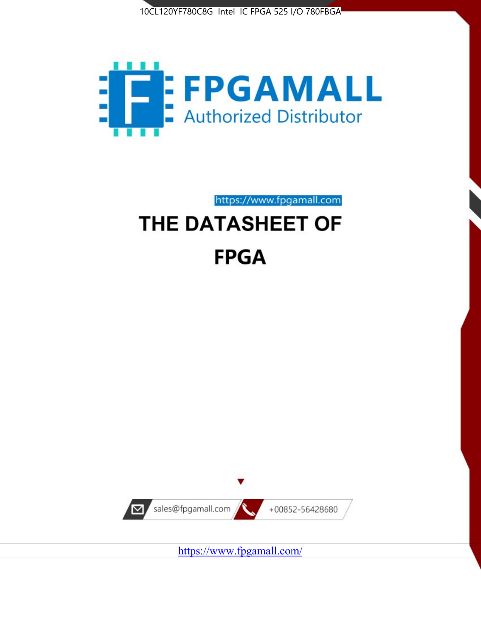



https://www.fpgamall.com

# THE DATASHEET OF **FPGA**



https://www.fpgamall.com/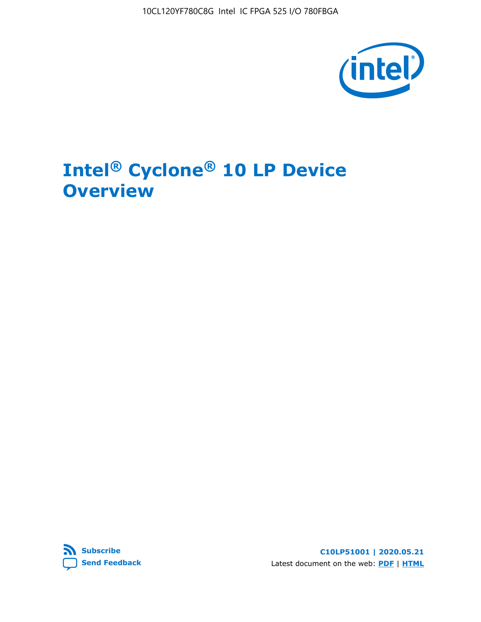10CL120YF780C8G Intel IC FPGA 525 I/O 780FBGA



# **Intel® Cyclone® 10 LP Device Overview**



**C10LP51001 | 2020.05.21** Latest document on the web: **[PDF](https://www.intel.com/content/dam/www/programmable/us/en/pdfs/literature/hb/cyclone-10/c10lp-51001.pdf)** | **[HTML](https://www.intel.com/content/www/us/en/programmable/documentation/hci1490246873896.html)**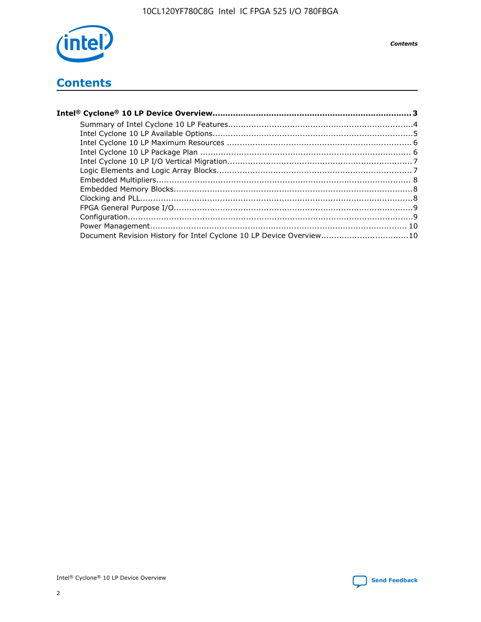

**Contents** 

## **Contents**

| Document Revision History for Intel Cyclone 10 LP Device Overview10 |  |
|---------------------------------------------------------------------|--|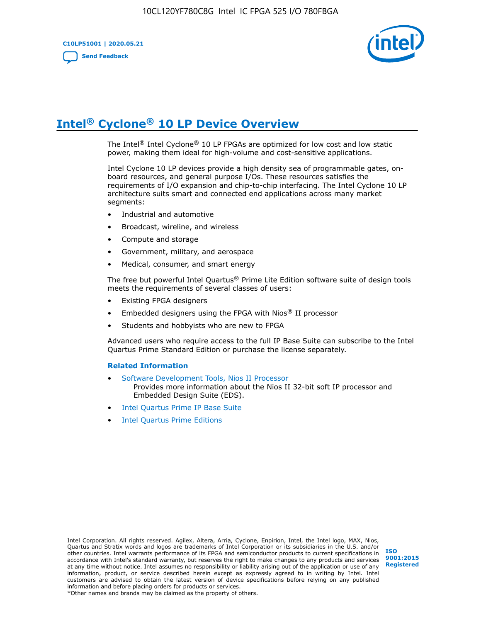

# **Intel® Cyclone® 10 LP Device Overview**

The Intel® Intel Cyclone® 10 LP FPGAs are optimized for low cost and low static power, making them ideal for high-volume and cost-sensitive applications.

Intel Cyclone 10 LP devices provide a high density sea of programmable gates, onboard resources, and general purpose I/Os. These resources satisfies the requirements of I/O expansion and chip-to-chip interfacing. The Intel Cyclone 10 LP architecture suits smart and connected end applications across many market segments:

- Industrial and automotive
- Broadcast, wireline, and wireless
- Compute and storage
- Government, military, and aerospace
- Medical, consumer, and smart energy

The free but powerful Intel Quartus® Prime Lite Edition software suite of design tools meets the requirements of several classes of users:

- Existing FPGA designers
- Embedded designers using the FPGA with Nios® II processor
- Students and hobbyists who are new to FPGA

Advanced users who require access to the full IP Base Suite can subscribe to the Intel Quartus Prime Standard Edition or purchase the license separately.

#### **Related Information**

- [Software Development Tools, Nios II Processor](https://www.altera.com/products/processors/design-tools.html) Provides more information about the Nios II 32-bit soft IP processor and Embedded Design Suite (EDS).
- [Intel Quartus Prime IP Base Suite](https://www.altera.com/products/intellectual-property/design/ip-base-suite.html)
- **[Intel Quartus Prime Editions](https://www.altera.com/products/design-software/fpga-design/quartus-prime/download.html)**

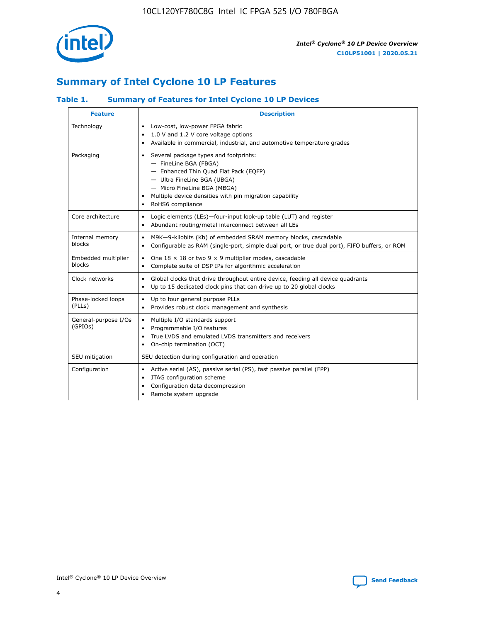

## **Summary of Intel Cyclone 10 LP Features**

## **Table 1. Summary of Features for Intel Cyclone 10 LP Devices**

| <b>Feature</b>                  | <b>Description</b>                                                                                                                                                                                                                                        |
|---------------------------------|-----------------------------------------------------------------------------------------------------------------------------------------------------------------------------------------------------------------------------------------------------------|
| Technology                      | Low-cost, low-power FPGA fabric<br>٠<br>1.0 V and 1.2 V core voltage options<br>Available in commercial, industrial, and automotive temperature grades                                                                                                    |
| Packaging                       | Several package types and footprints:<br>٠<br>- FineLine BGA (FBGA)<br>- Enhanced Thin Quad Flat Pack (EQFP)<br>- Ultra FineLine BGA (UBGA)<br>- Micro FineLine BGA (MBGA)<br>Multiple device densities with pin migration capability<br>RoHS6 compliance |
| Core architecture               | Logic elements (LEs)-four-input look-up table (LUT) and register<br>٠<br>Abundant routing/metal interconnect between all LEs<br>$\bullet$                                                                                                                 |
| Internal memory<br>blocks       | M9K-9-kilobits (Kb) of embedded SRAM memory blocks, cascadable<br>$\bullet$<br>Configurable as RAM (single-port, simple dual port, or true dual port), FIFO buffers, or ROM<br>$\bullet$                                                                  |
| Embedded multiplier<br>blocks   | One $18 \times 18$ or two 9 $\times$ 9 multiplier modes, cascadable<br>$\bullet$<br>Complete suite of DSP IPs for algorithmic acceleration<br>$\bullet$                                                                                                   |
| Clock networks                  | Global clocks that drive throughout entire device, feeding all device quadrants<br>٠<br>Up to 15 dedicated clock pins that can drive up to 20 global clocks                                                                                               |
| Phase-locked loops<br>(PLLs)    | Up to four general purpose PLLs<br>٠<br>Provides robust clock management and synthesis<br>$\bullet$                                                                                                                                                       |
| General-purpose I/Os<br>(GPIOs) | Multiple I/O standards support<br>$\bullet$<br>Programmable I/O features<br>$\bullet$<br>True LVDS and emulated LVDS transmitters and receivers<br>٠<br>On-chip termination (OCT)                                                                         |
| SEU mitigation                  | SEU detection during configuration and operation                                                                                                                                                                                                          |
| Configuration                   | Active serial (AS), passive serial (PS), fast passive parallel (FPP)<br>$\bullet$<br>JTAG configuration scheme<br>٠<br>Configuration data decompression<br>Remote system upgrade<br>٠                                                                     |

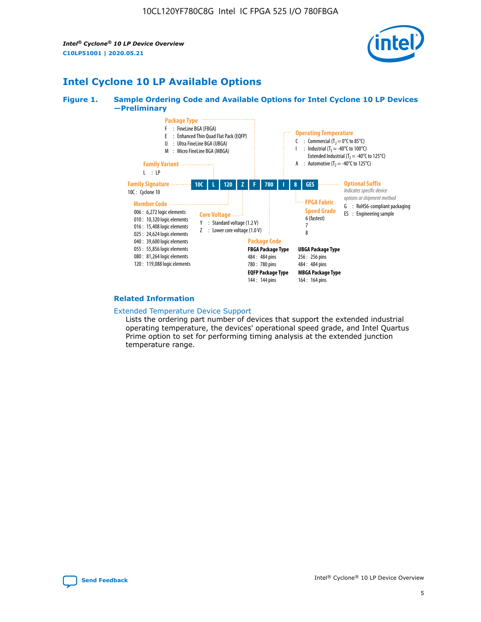*Intel® Cyclone® 10 LP Device Overview* **C10LP51001 | 2020.05.21**



## **Intel Cyclone 10 LP Available Options**

#### **Figure 1. Sample Ordering Code and Available Options for Intel Cyclone 10 LP Devices —Preliminary**



#### **Related Information**

#### [Extended Temperature Device Support](https://www.intel.com/content/www/us/en/products/programmable/temperature.html)

Lists the ordering part number of devices that support the extended industrial operating temperature, the devices' operational speed grade, and Intel Quartus Prime option to set for performing timing analysis at the extended junction temperature range.

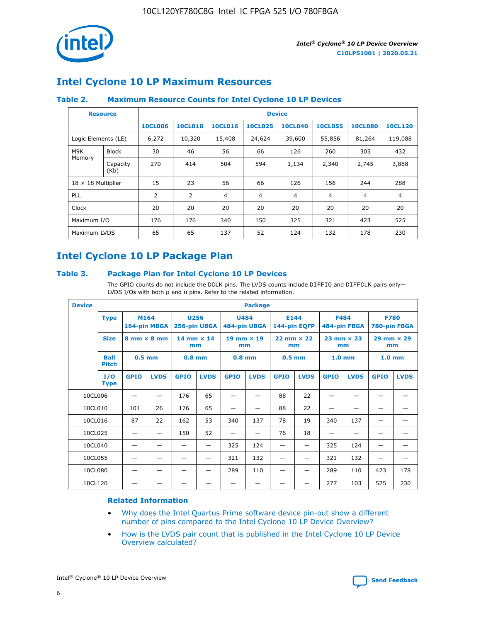

## **Intel Cyclone 10 LP Maximum Resources**

### **Table 2. Maximum Resource Counts for Intel Cyclone 10 LP Devices**

|                           | <b>Resource</b>  | <b>Device</b>  |                |                |                |                |                |                |                |
|---------------------------|------------------|----------------|----------------|----------------|----------------|----------------|----------------|----------------|----------------|
|                           |                  | <b>10CL006</b> | <b>10CL010</b> | <b>10CL016</b> | <b>10CL025</b> | <b>10CL040</b> | <b>10CL055</b> | <b>10CL080</b> | <b>10CL120</b> |
| Logic Elements (LE)       |                  | 6,272          | 10,320         | 15,408         | 24,624         | 39,600         | 55,856         | 81,264         | 119,088        |
| M9K                       | <b>Block</b>     | 30             | 46             | 56             | 66             | 126            | 260            | 305            | 432            |
| Memory                    | Capacity<br>(Kb) | 270            | 414            | 504            | 594            | 1,134          | 2,340          | 2,745          | 3,888          |
| $18 \times 18$ Multiplier |                  | 15             | 23             | 56             | 66             | 126            | 156            | 244            | 288            |
| <b>PLL</b>                |                  | 2              | $\overline{2}$ | $\overline{4}$ | 4              | $\overline{4}$ | 4              | $\overline{4}$ | $\overline{4}$ |
| Clock                     |                  | 20             | 20             | 20             | 20             | 20             | 20             | 20             | 20             |
| Maximum I/O               |                  | 176            | 176            | 340            | 150            | 325            | 321            | 423            | 525            |
| Maximum LVDS              |                  | 65             | 65             | 137            | 52             | 124            | 132            | 178            | 230            |

## **Intel Cyclone 10 LP Package Plan**

#### **Table 3. Package Plan for Intel Cyclone 10 LP Devices**

The GPIO counts do not include the DCLK pins. The LVDS counts include DIFFIO and DIFFCLK pairs only-LVDS I/Os with both p and n pins. Refer to the related information.

| <b>Device</b> |                                                   | <b>Package</b> |                           |             |                             |             |                      |                     |                           |                   |                             |                   |             |
|---------------|---------------------------------------------------|----------------|---------------------------|-------------|-----------------------------|-------------|----------------------|---------------------|---------------------------|-------------------|-----------------------------|-------------------|-------------|
|               | M164<br><b>Type</b><br>164-pin MBGA               |                | 256-pin UBGA              | <b>U256</b> | <b>U484</b><br>484-pin UBGA |             | E144<br>144-pin EQFP |                     | <b>F484</b>               | 484-pin FBGA      | <b>F780</b><br>780-pin FBGA |                   |             |
|               | <b>Size</b><br>$8 \text{ mm} \times 8 \text{ mm}$ |                | $14$ mm $\times$ 14<br>mm |             | $19$ mm $\times$ 19<br>mm   |             | mm                   | $22$ mm $\times$ 22 | $23$ mm $\times$ 23<br>mm |                   | $29$ mm $\times$ 29<br>mm   |                   |             |
|               | <b>Ball</b><br><b>Pitch</b>                       | $0.5$ mm       |                           | $0.8$ mm    |                             | $0.8$ mm    |                      | $0.5$ mm            |                           | 1.0 <sub>mm</sub> |                             | 1.0 <sub>mm</sub> |             |
|               | I/O<br><b>Type</b>                                | <b>GPIO</b>    | <b>LVDS</b>               | <b>GPIO</b> | <b>LVDS</b>                 | <b>GPIO</b> | <b>LVDS</b>          | <b>GPIO</b>         | <b>LVDS</b>               | <b>GPIO</b>       | <b>LVDS</b>                 | <b>GPIO</b>       | <b>LVDS</b> |
| 10CL006       |                                                   |                |                           | 176         | 65                          |             |                      | 88                  | 22                        |                   |                             |                   |             |
| 10CL010       |                                                   | 101            | 26                        | 176         | 65                          |             |                      | 88                  | 22                        |                   |                             |                   |             |
| 10CL016       |                                                   | 87             | 22                        | 162         | 53                          | 340         | 137                  | 78                  | 19                        | 340               | 137                         |                   |             |
| 10CL025       |                                                   | —              | —                         | 150         | 52                          | —           |                      | 76                  | 18                        | -                 | —                           |                   |             |
| 10CL040       |                                                   |                |                           |             |                             | 325         | 124                  |                     |                           | 325               | 124                         |                   |             |
| 10CL055       |                                                   |                |                           |             |                             | 321         | 132                  |                     |                           | 321               | 132                         |                   |             |
| 10CL080       |                                                   |                |                           |             |                             | 289         | 110                  |                     |                           | 289               | 110                         | 423               | 178         |
| 10CL120       |                                                   |                |                           |             |                             |             |                      |                     |                           | 277               | 103                         | 525               | 230         |

### **Related Information**

- [Why does the Intel Quartus Prime software device pin-out show a different](https://www.intel.com/content/altera-www/global/en_us/index/support/support-resources/knowledge-base/component/2020/why-does-intel--quartus--device-pinout-pin-count-shows-a-differe0.html) [number of pins compared to the Intel Cyclone 10 LP Device Overview?](https://www.intel.com/content/altera-www/global/en_us/index/support/support-resources/knowledge-base/component/2020/why-does-intel--quartus--device-pinout-pin-count-shows-a-differe0.html)
- [How is the LVDS pair count that is published in the Intel Cyclone 10 LP Device](https://www.intel.com/content/altera-www/global/en_us/index/support/support-resources/knowledge-base/component/2020/how-is-the-lvds-pair-count-in-intel--cyclone--10-device-overview.html) [Overview calculated?](https://www.intel.com/content/altera-www/global/en_us/index/support/support-resources/knowledge-base/component/2020/how-is-the-lvds-pair-count-in-intel--cyclone--10-device-overview.html)



Intel<sup>®</sup> Cyclone<sup>®</sup> 10 LP Device Overview **[Send Feedback](mailto:FPGAtechdocfeedback@intel.com?subject=Feedback%20on%20Intel%20Cyclone%2010%20LP%20Device%20Overview%20(C10LP51001%202020.05.21)&body=We%20appreciate%20your%20feedback.%20In%20your%20comments,%20also%20specify%20the%20page%20number%20or%20paragraph.%20Thank%20you.)** Send Feedback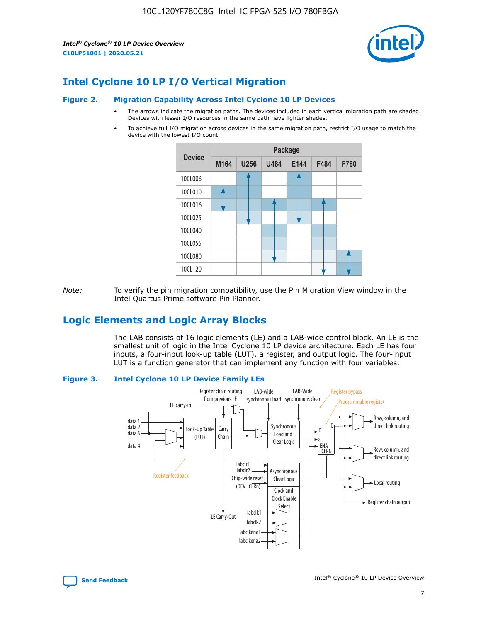*Intel® Cyclone® 10 LP Device Overview* **C10LP51001 | 2020.05.21**



## **Intel Cyclone 10 LP I/O Vertical Migration**

#### **Figure 2. Migration Capability Across Intel Cyclone 10 LP Devices**

- The arrows indicate the migration paths. The devices included in each vertical migration path are shaded. Devices with lesser I/O resources in the same path have lighter shades.
- To achieve full I/O migration across devices in the same migration path, restrict I/O usage to match the device with the lowest I/O count.



*Note:* To verify the pin migration compatibility, use the Pin Migration View window in the Intel Quartus Prime software Pin Planner.

## **Logic Elements and Logic Array Blocks**

The LAB consists of 16 logic elements (LE) and a LAB-wide control block. An LE is the smallest unit of logic in the Intel Cyclone 10 LP device architecture. Each LE has four inputs, a four-input look-up table (LUT), a register, and output logic. The four-input LUT is a function generator that can implement any function with four variables.

#### **Figure 3. Intel Cyclone 10 LP Device Family LEs**



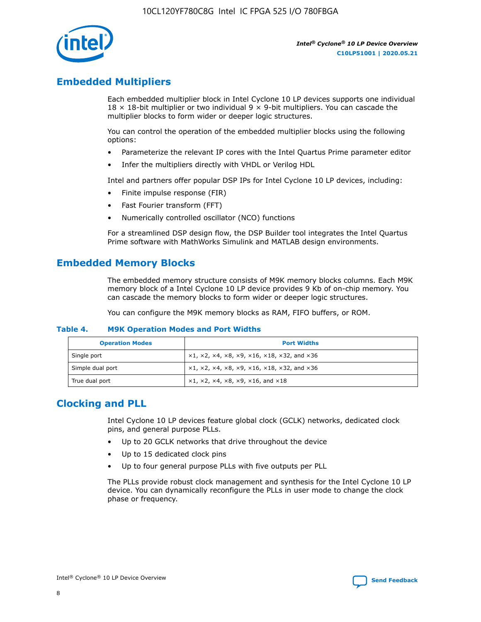

## **Embedded Multipliers**

Each embedded multiplier block in Intel Cyclone 10 LP devices supports one individual  $18 \times 18$ -bit multiplier or two individual 9  $\times$  9-bit multipliers. You can cascade the multiplier blocks to form wider or deeper logic structures.

You can control the operation of the embedded multiplier blocks using the following options:

- Parameterize the relevant IP cores with the Intel Quartus Prime parameter editor
- Infer the multipliers directly with VHDL or Verilog HDL

Intel and partners offer popular DSP IPs for Intel Cyclone 10 LP devices, including:

- Finite impulse response (FIR)
- Fast Fourier transform (FFT)
- Numerically controlled oscillator (NCO) functions

For a streamlined DSP design flow, the DSP Builder tool integrates the Intel Quartus Prime software with MathWorks Simulink and MATLAB design environments.

## **Embedded Memory Blocks**

The embedded memory structure consists of M9K memory blocks columns. Each M9K memory block of a Intel Cyclone 10 LP device provides 9 Kb of on-chip memory. You can cascade the memory blocks to form wider or deeper logic structures.

You can configure the M9K memory blocks as RAM, FIFO buffers, or ROM.

#### **Table 4. M9K Operation Modes and Port Widths**

| <b>Operation Modes</b> | <b>Port Widths</b>                           |
|------------------------|----------------------------------------------|
| Single port            | $x1, x2, x4, x8, x9, x16, x18, x32, and x36$ |
| Simple dual port       | $x1, x2, x4, x8, x9, x16, x18, x32, and x36$ |
| True dual port         | x1, x2, x4, x8, x9, x16, and x18             |

## **Clocking and PLL**

Intel Cyclone 10 LP devices feature global clock (GCLK) networks, dedicated clock pins, and general purpose PLLs.

- Up to 20 GCLK networks that drive throughout the device
- Up to 15 dedicated clock pins
- Up to four general purpose PLLs with five outputs per PLL

The PLLs provide robust clock management and synthesis for the Intel Cyclone 10 LP device. You can dynamically reconfigure the PLLs in user mode to change the clock phase or frequency.

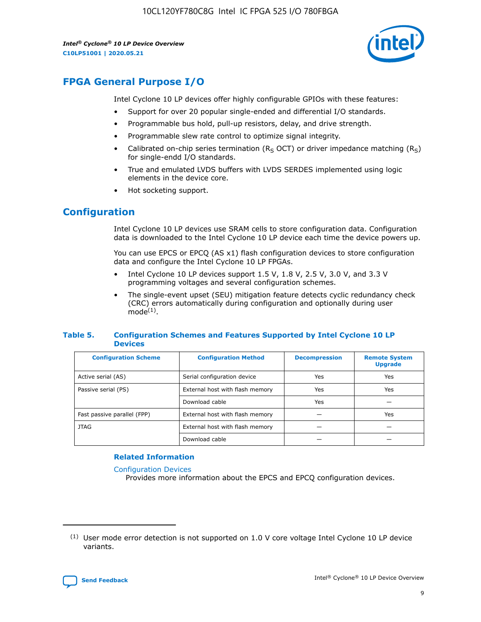10CL120YF780C8G Intel IC FPGA 525 I/O 780FBGA

*Intel® Cyclone® 10 LP Device Overview* **C10LP51001 | 2020.05.21**



## **FPGA General Purpose I/O**

Intel Cyclone 10 LP devices offer highly configurable GPIOs with these features:

- Support for over 20 popular single-ended and differential I/O standards.
- Programmable bus hold, pull-up resistors, delay, and drive strength.
- Programmable slew rate control to optimize signal integrity.
- Calibrated on-chip series termination ( $R<sub>S</sub>$  OCT) or driver impedance matching ( $R<sub>S</sub>$ ) for single-endd I/O standards.
- True and emulated LVDS buffers with LVDS SERDES implemented using logic elements in the device core.
- Hot socketing support.

## **Configuration**

Intel Cyclone 10 LP devices use SRAM cells to store configuration data. Configuration data is downloaded to the Intel Cyclone 10 LP device each time the device powers up.

You can use EPCS or EPCQ (AS x1) flash configuration devices to store configuration data and configure the Intel Cyclone 10 LP FPGAs.

- Intel Cyclone 10 LP devices support 1.5 V, 1.8 V, 2.5 V, 3.0 V, and 3.3 V programming voltages and several configuration schemes.
- The single-event upset (SEU) mitigation feature detects cyclic redundancy check (CRC) errors automatically during configuration and optionally during user  $mode<sup>(1)</sup>$ .

#### **Table 5. Configuration Schemes and Features Supported by Intel Cyclone 10 LP Devices**

| <b>Configuration Scheme</b> | <b>Configuration Method</b>     | <b>Decompression</b> | <b>Remote System</b><br><b>Upgrade</b> |  |
|-----------------------------|---------------------------------|----------------------|----------------------------------------|--|
| Active serial (AS)          | Serial configuration device     | Yes                  | Yes                                    |  |
| Passive serial (PS)         | External host with flash memory | Yes                  | Yes                                    |  |
|                             | Download cable                  | Yes                  |                                        |  |
| Fast passive parallel (FPP) | External host with flash memory |                      | Yes                                    |  |
| JTAG                        | External host with flash memory |                      |                                        |  |
|                             | Download cable                  |                      |                                        |  |

#### **Related Information**

[Configuration Devices](https://www.altera.com/products/configuration-devices/overview.html)

Provides more information about the EPCS and EPCQ configuration devices.

 $(1)$  User mode error detection is not supported on 1.0 V core voltage Intel Cyclone 10 LP device variants.

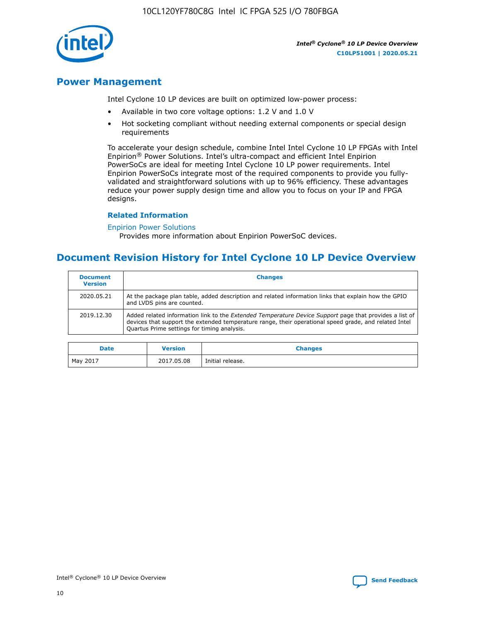10CL120YF780C8G Intel IC FPGA 525 I/O 780FBGA



*Intel® Cyclone® 10 LP Device Overview* **C10LP51001 | 2020.05.21**

## **Power Management**

Intel Cyclone 10 LP devices are built on optimized low-power process:

- Available in two core voltage options: 1.2 V and 1.0 V
- Hot socketing compliant without needing external components or special design requirements

To accelerate your design schedule, combine Intel Intel Cyclone 10 LP FPGAs with Intel Enpirion® Power Solutions. Intel's ultra-compact and efficient Intel Enpirion PowerSoCs are ideal for meeting Intel Cyclone 10 LP power requirements. Intel Enpirion PowerSoCs integrate most of the required components to provide you fullyvalidated and straightforward solutions with up to 96% efficiency. These advantages reduce your power supply design time and allow you to focus on your IP and FPGA designs.

#### **Related Information**

#### [Enpirion Power Solutions](https://www.altera.com/products/power/devices.html)

Provides more information about Enpirion PowerSoC devices.

## **Document Revision History for Intel Cyclone 10 LP Device Overview**

| <b>Document</b><br><b>Version</b> | <b>Changes</b>                                                                                                                                                                                                                                                        |
|-----------------------------------|-----------------------------------------------------------------------------------------------------------------------------------------------------------------------------------------------------------------------------------------------------------------------|
| 2020.05.21                        | At the package plan table, added description and related information links that explain how the GPIO<br>and LVDS pins are counted.                                                                                                                                    |
| 2019.12.30                        | Added related information link to the <i>Extended Temperature Device Support</i> page that provides a list of<br>devices that support the extended temperature range, their operational speed grade, and related Intel<br>Quartus Prime settings for timing analysis. |

| <b>Date</b> | <b>Version</b> | <b>Changes</b>   |
|-------------|----------------|------------------|
| May 2017    | 2017.05.08     | Initial release. |